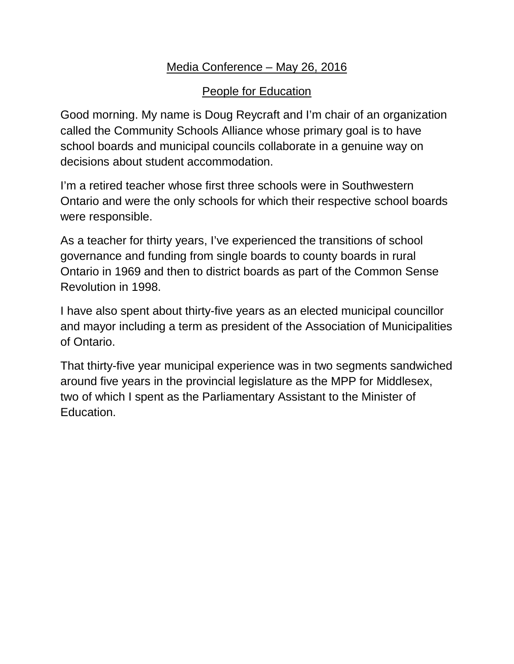## Media Conference – May 26, 2016

## People for Education

Good morning. My name is Doug Reycraft and I'm chair of an organization called the Community Schools Alliance whose primary goal is to have school boards and municipal councils collaborate in a genuine way on decisions about student accommodation.

I'm a retired teacher whose first three schools were in Southwestern Ontario and were the only schools for which their respective school boards were responsible.

As a teacher for thirty years, I've experienced the transitions of school governance and funding from single boards to county boards in rural Ontario in 1969 and then to district boards as part of the Common Sense Revolution in 1998.

I have also spent about thirty-five years as an elected municipal councillor and mayor including a term as president of the Association of Municipalities of Ontario.

That thirty-five year municipal experience was in two segments sandwiched around five years in the provincial legislature as the MPP for Middlesex, two of which I spent as the Parliamentary Assistant to the Minister of Education.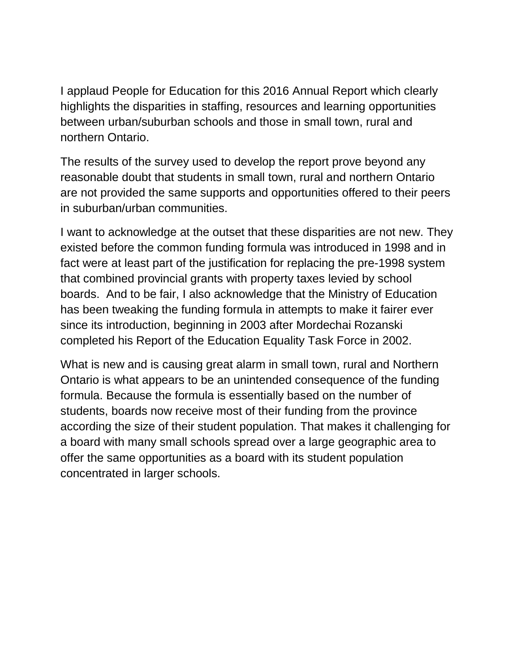I applaud People for Education for this 2016 Annual Report which clearly highlights the disparities in staffing, resources and learning opportunities between urban/suburban schools and those in small town, rural and northern Ontario.

The results of the survey used to develop the report prove beyond any reasonable doubt that students in small town, rural and northern Ontario are not provided the same supports and opportunities offered to their peers in suburban/urban communities.

I want to acknowledge at the outset that these disparities are not new. They existed before the common funding formula was introduced in 1998 and in fact were at least part of the justification for replacing the pre-1998 system that combined provincial grants with property taxes levied by school boards. And to be fair, I also acknowledge that the Ministry of Education has been tweaking the funding formula in attempts to make it fairer ever since its introduction, beginning in 2003 after Mordechai Rozanski completed his Report of the Education Equality Task Force in 2002.

What is new and is causing great alarm in small town, rural and Northern Ontario is what appears to be an unintended consequence of the funding formula. Because the formula is essentially based on the number of students, boards now receive most of their funding from the province according the size of their student population. That makes it challenging for a board with many small schools spread over a large geographic area to offer the same opportunities as a board with its student population concentrated in larger schools.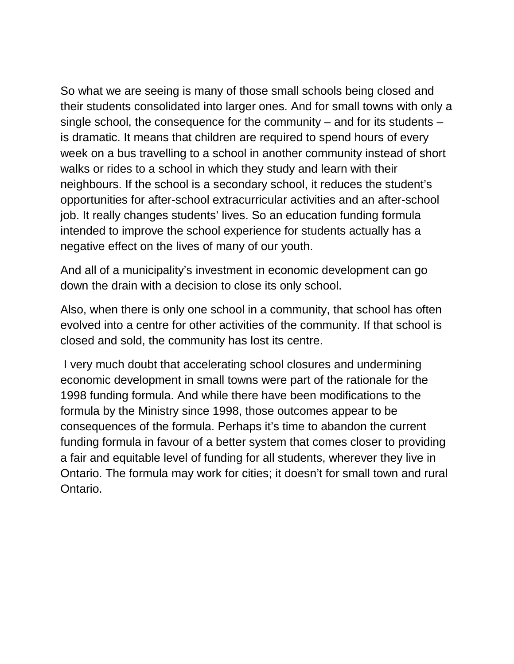So what we are seeing is many of those small schools being closed and their students consolidated into larger ones. And for small towns with only a single school, the consequence for the community – and for its students – is dramatic. It means that children are required to spend hours of every week on a bus travelling to a school in another community instead of short walks or rides to a school in which they study and learn with their neighbours. If the school is a secondary school, it reduces the student's opportunities for after-school extracurricular activities and an after-school job. It really changes students' lives. So an education funding formula intended to improve the school experience for students actually has a negative effect on the lives of many of our youth.

And all of a municipality's investment in economic development can go down the drain with a decision to close its only school.

Also, when there is only one school in a community, that school has often evolved into a centre for other activities of the community. If that school is closed and sold, the community has lost its centre.

I very much doubt that accelerating school closures and undermining economic development in small towns were part of the rationale for the 1998 funding formula. And while there have been modifications to the formula by the Ministry since 1998, those outcomes appear to be consequences of the formula. Perhaps it's time to abandon the current funding formula in favour of a better system that comes closer to providing a fair and equitable level of funding for all students, wherever they live in Ontario. The formula may work for cities; it doesn't for small town and rural Ontario.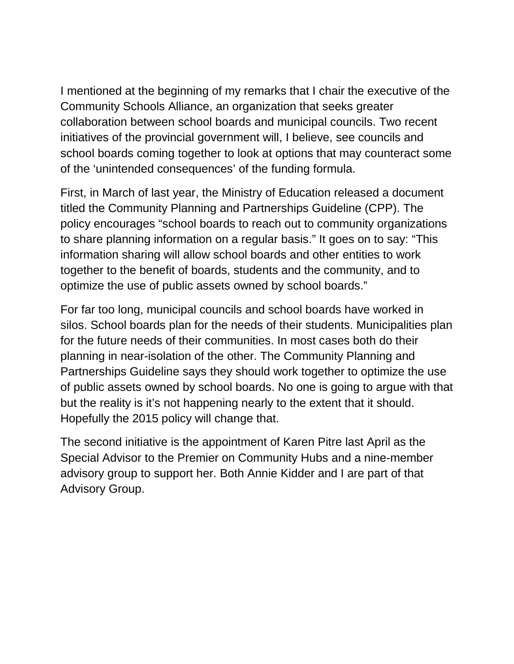I mentioned at the beginning of my remarks that I chair the executive of the Community Schools Alliance, an organization that seeks greater collaboration between school boards and municipal councils. Two recent initiatives of the provincial government will, I believe, see councils and school boards coming together to look at options that may counteract some of the 'unintended consequences' of the funding formula.

First, in March of last year, the Ministry of Education released a document titled the Community Planning and Partnerships Guideline (CPP). The policy encourages "school boards to reach out to community organizations to share planning information on a regular basis." It goes on to say: "This information sharing will allow school boards and other entities to work together to the benefit of boards, students and the community, and to optimize the use of public assets owned by school boards."

For far too long, municipal councils and school boards have worked in silos. School boards plan for the needs of their students. Municipalities plan for the future needs of their communities. In most cases both do their planning in near-isolation of the other. The Community Planning and Partnerships Guideline says they should work together to optimize the use of public assets owned by school boards. No one is going to argue with that but the reality is it's not happening nearly to the extent that it should. Hopefully the 2015 policy will change that.

The second initiative is the appointment of Karen Pitre last April as the Special Advisor to the Premier on Community Hubs and a nine-member advisory group to support her. Both Annie Kidder and I are part of that Advisory Group.